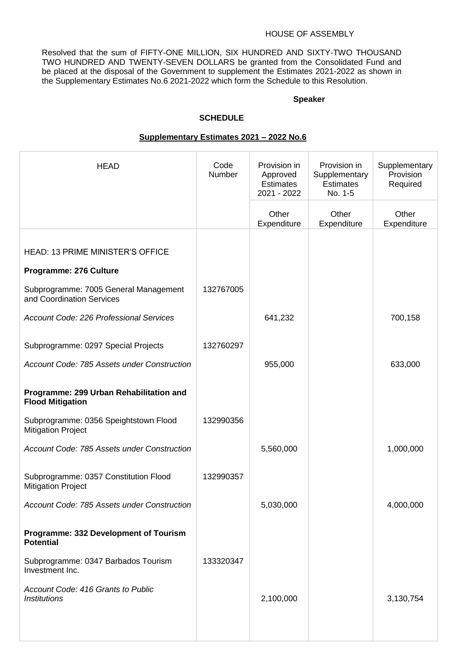#### HOUSE OF ASSEMBLY

Resolved that the sum of FIFTY-ONE MILLION, SIX HUNDRED AND SIXTY-TWO THOUSAND TWO HUNDRED AND TWENTY-SEVEN DOLLARS be granted from the Consolidated Fund and be placed at the disposal of the Government to supplement the Estimates 2021-2022 as shown in the Supplementary Estimates No.6 2021-2022 which form the Schedule to this Resolution.

#### **Speaker**

#### **SCHEDULE**

#### **Supplementary Estimates 2021 – 2022 No.6**

| <b>HEAD</b>                                                        | Code<br><b>Number</b> | Provision in<br>Approved<br><b>Estimates</b><br>2021 - 2022 | Provision in<br>Supplementary<br><b>Estimates</b><br>No. 1-5 | Supplementary<br>Provision<br>Required |
|--------------------------------------------------------------------|-----------------------|-------------------------------------------------------------|--------------------------------------------------------------|----------------------------------------|
|                                                                    |                       | Other<br>Expenditure                                        | Other<br>Expenditure                                         | Other<br>Expenditure                   |
|                                                                    |                       |                                                             |                                                              |                                        |
| <b>HEAD: 13 PRIME MINISTER'S OFFICE</b>                            |                       |                                                             |                                                              |                                        |
| Programme: 276 Culture                                             |                       |                                                             |                                                              |                                        |
| Subprogramme: 7005 General Management<br>and Coordination Services | 132767005             |                                                             |                                                              |                                        |
| Account Code: 226 Professional Services                            |                       | 641,232                                                     |                                                              | 700,158                                |
| Subprogramme: 0297 Special Projects                                | 132760297             |                                                             |                                                              |                                        |
| Account Code: 785 Assets under Construction                        |                       | 955,000                                                     |                                                              | 633,000                                |
| Programme: 299 Urban Rehabilitation and<br><b>Flood Mitigation</b> |                       |                                                             |                                                              |                                        |
| Subprogramme: 0356 Speightstown Flood<br><b>Mitigation Project</b> | 132990356             |                                                             |                                                              |                                        |
| Account Code: 785 Assets under Construction                        |                       | 5,560,000                                                   |                                                              | 1,000,000                              |
| Subprogramme: 0357 Constitution Flood<br><b>Mitigation Project</b> | 132990357             |                                                             |                                                              |                                        |
| Account Code: 785 Assets under Construction                        |                       | 5,030,000                                                   |                                                              | 4,000,000                              |
| Programme: 332 Development of Tourism<br><b>Potential</b>          |                       |                                                             |                                                              |                                        |
| Subprogramme: 0347 Barbados Tourism<br>Investment Inc.             | 133320347             |                                                             |                                                              |                                        |
| Account Code: 416 Grants to Public<br><b>Institutions</b>          |                       | 2,100,000                                                   |                                                              | 3,130,754                              |
|                                                                    |                       |                                                             |                                                              |                                        |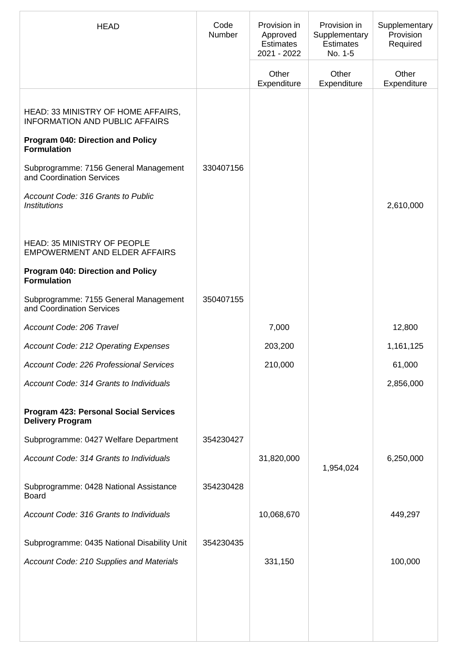| <b>HEAD</b>                                                                 | Code<br><b>Number</b> | Provision in<br>Approved<br><b>Estimates</b><br>2021 - 2022 | Provision in<br>Supplementary<br><b>Estimates</b><br>No. 1-5 | Supplementary<br>Provision<br>Required |
|-----------------------------------------------------------------------------|-----------------------|-------------------------------------------------------------|--------------------------------------------------------------|----------------------------------------|
|                                                                             |                       | Other<br>Expenditure                                        | Other<br>Expenditure                                         | Other<br>Expenditure                   |
| HEAD: 33 MINISTRY OF HOME AFFAIRS,<br><b>INFORMATION AND PUBLIC AFFAIRS</b> |                       |                                                             |                                                              |                                        |
| <b>Program 040: Direction and Policy</b><br><b>Formulation</b>              |                       |                                                             |                                                              |                                        |
| Subprogramme: 7156 General Management<br>and Coordination Services          | 330407156             |                                                             |                                                              |                                        |
| Account Code: 316 Grants to Public<br><b>Institutions</b>                   |                       |                                                             |                                                              | 2,610,000                              |
| <b>HEAD: 35 MINISTRY OF PEOPLE</b><br><b>EMPOWERMENT AND ELDER AFFAIRS</b>  |                       |                                                             |                                                              |                                        |
| <b>Program 040: Direction and Policy</b><br><b>Formulation</b>              |                       |                                                             |                                                              |                                        |
| Subprogramme: 7155 General Management<br>and Coordination Services          | 350407155             |                                                             |                                                              |                                        |
| Account Code: 206 Travel                                                    |                       | 7,000                                                       |                                                              | 12,800                                 |
| Account Code: 212 Operating Expenses                                        |                       | 203,200                                                     |                                                              | 1,161,125                              |
| <b>Account Code: 226 Professional Services</b>                              |                       | 210,000                                                     |                                                              | 61,000                                 |
| Account Code: 314 Grants to Individuals                                     |                       |                                                             |                                                              | 2,856,000                              |
| <b>Program 423: Personal Social Services</b><br><b>Delivery Program</b>     |                       |                                                             |                                                              |                                        |
| Subprogramme: 0427 Welfare Department                                       | 354230427             |                                                             |                                                              |                                        |
| Account Code: 314 Grants to Individuals                                     |                       | 31,820,000                                                  | 1,954,024                                                    | 6,250,000                              |
| Subprogramme: 0428 National Assistance<br><b>Board</b>                      | 354230428             |                                                             |                                                              |                                        |
| Account Code: 316 Grants to Individuals                                     |                       | 10,068,670                                                  |                                                              | 449,297                                |
| Subprogramme: 0435 National Disability Unit                                 | 354230435             |                                                             |                                                              |                                        |
| Account Code: 210 Supplies and Materials                                    |                       | 331,150                                                     |                                                              | 100,000                                |
|                                                                             |                       |                                                             |                                                              |                                        |
|                                                                             |                       |                                                             |                                                              |                                        |
|                                                                             |                       |                                                             |                                                              |                                        |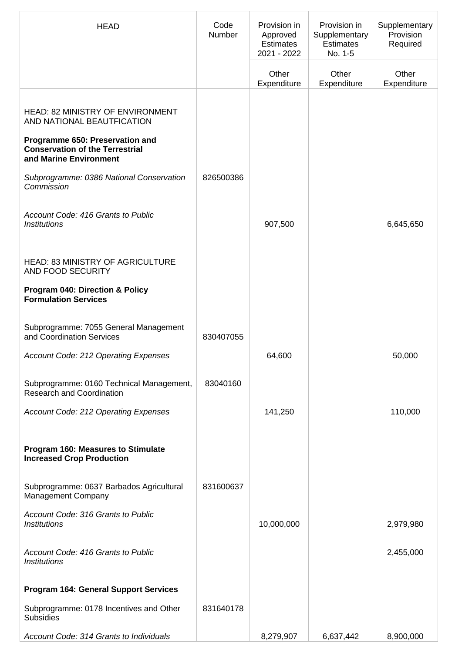| <b>HEAD</b>                                                                                         | Code<br>Number | Provision in<br>Approved<br><b>Estimates</b><br>2021 - 2022 | Provision in<br>Supplementary<br><b>Estimates</b><br>No. 1-5 | Supplementary<br>Provision<br>Required |
|-----------------------------------------------------------------------------------------------------|----------------|-------------------------------------------------------------|--------------------------------------------------------------|----------------------------------------|
|                                                                                                     |                | Other<br>Expenditure                                        | Other<br>Expenditure                                         | Other<br>Expenditure                   |
| <b>HEAD: 82 MINISTRY OF ENVIRONMENT</b><br>AND NATIONAL BEAUTFICATION                               |                |                                                             |                                                              |                                        |
| Programme 650: Preservation and<br><b>Conservation of the Terrestrial</b><br>and Marine Environment |                |                                                             |                                                              |                                        |
| Subprogramme: 0386 National Conservation<br>Commission                                              | 826500386      |                                                             |                                                              |                                        |
| Account Code: 416 Grants to Public<br><b>Institutions</b>                                           |                | 907,500                                                     |                                                              | 6,645,650                              |
| <b>HEAD: 83 MINISTRY OF AGRICULTURE</b><br>AND FOOD SECURITY                                        |                |                                                             |                                                              |                                        |
| <b>Program 040: Direction &amp; Policy</b><br><b>Formulation Services</b>                           |                |                                                             |                                                              |                                        |
| Subprogramme: 7055 General Management<br>and Coordination Services                                  | 830407055      |                                                             |                                                              |                                        |
| Account Code: 212 Operating Expenses                                                                |                | 64,600                                                      |                                                              | 50,000                                 |
| Subprogramme: 0160 Technical Management,<br><b>Research and Coordination</b>                        | 83040160       |                                                             |                                                              |                                        |
| Account Code: 212 Operating Expenses                                                                |                | 141,250                                                     |                                                              | 110,000                                |
| Program 160: Measures to Stimulate<br><b>Increased Crop Production</b>                              |                |                                                             |                                                              |                                        |
| Subprogramme: 0637 Barbados Agricultural<br><b>Management Company</b>                               | 831600637      |                                                             |                                                              |                                        |
| Account Code: 316 Grants to Public<br><b>Institutions</b>                                           |                | 10,000,000                                                  |                                                              | 2,979,980                              |
| Account Code: 416 Grants to Public<br><b>Institutions</b>                                           |                |                                                             |                                                              | 2,455,000                              |
| <b>Program 164: General Support Services</b>                                                        |                |                                                             |                                                              |                                        |
| Subprogramme: 0178 Incentives and Other<br><b>Subsidies</b>                                         | 831640178      |                                                             |                                                              |                                        |
| Account Code: 314 Grants to Individuals                                                             |                | 8,279,907                                                   | 6,637,442                                                    | 8,900,000                              |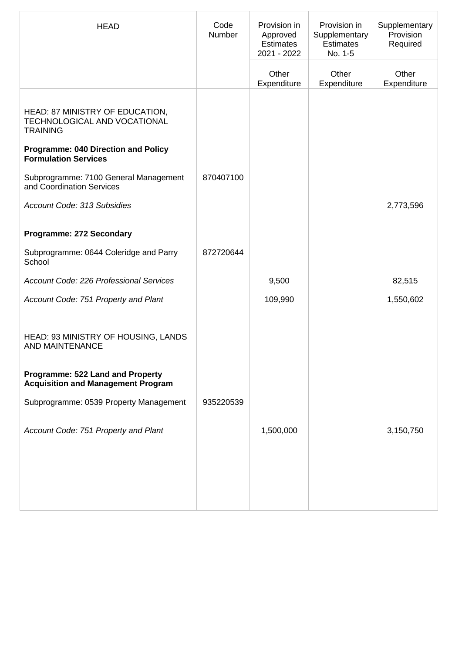| <b>HEAD</b>                                                                        | Code<br>Number | Provision in<br>Approved<br><b>Estimates</b><br>2021 - 2022 | Provision in<br>Supplementary<br><b>Estimates</b><br>No. 1-5 | Supplementary<br>Provision<br>Required |
|------------------------------------------------------------------------------------|----------------|-------------------------------------------------------------|--------------------------------------------------------------|----------------------------------------|
|                                                                                    |                | Other<br>Expenditure                                        | Other<br>Expenditure                                         | Other<br>Expenditure                   |
| HEAD: 87 MINISTRY OF EDUCATION,<br>TECHNOLOGICAL AND VOCATIONAL<br><b>TRAINING</b> |                |                                                             |                                                              |                                        |
| <b>Programme: 040 Direction and Policy</b><br><b>Formulation Services</b>          |                |                                                             |                                                              |                                        |
| Subprogramme: 7100 General Management<br>and Coordination Services                 | 870407100      |                                                             |                                                              |                                        |
| Account Code: 313 Subsidies                                                        |                |                                                             |                                                              | 2,773,596                              |
| <b>Programme: 272 Secondary</b>                                                    |                |                                                             |                                                              |                                        |
| Subprogramme: 0644 Coleridge and Parry<br>School                                   | 872720644      |                                                             |                                                              |                                        |
| Account Code: 226 Professional Services                                            |                | 9,500                                                       |                                                              | 82,515                                 |
| Account Code: 751 Property and Plant                                               |                | 109,990                                                     |                                                              | 1,550,602                              |
| HEAD: 93 MINISTRY OF HOUSING, LANDS<br><b>AND MAINTENANCE</b>                      |                |                                                             |                                                              |                                        |
| Programme: 522 Land and Property<br><b>Acquisition and Management Program</b>      |                |                                                             |                                                              |                                        |
| Subprogramme: 0539 Property Management                                             | 935220539      |                                                             |                                                              |                                        |
| Account Code: 751 Property and Plant                                               |                | 1,500,000                                                   |                                                              | 3,150,750                              |
|                                                                                    |                |                                                             |                                                              |                                        |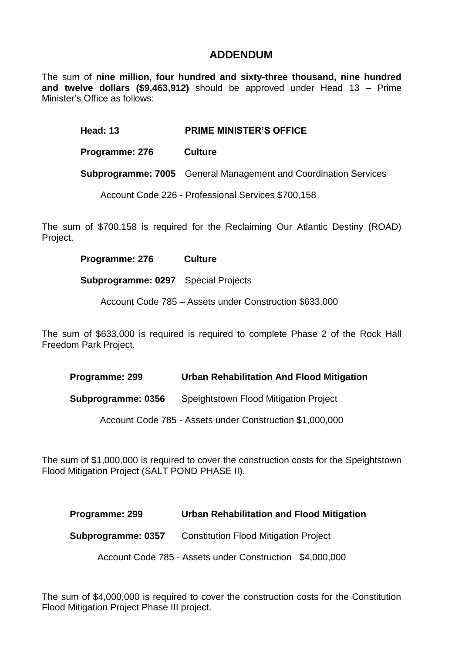The sum of **nine million, four hundred and sixty-three thousand, nine hundred and twelve dollars (\$9,463,912)** should be approved under Head 13 – Prime Minister's Office as follows:

**Head: 13 PRIME MINISTER'S OFFICE**

**Programme: 276 Culture** 

**Subprogramme: 7005** General Management and Coordination Services

Account Code 226 - Professional Services \$700,158

The sum of \$700,158 is required for the Reclaiming Our Atlantic Destiny (ROAD) Project.

**Programme: 276 Culture** 

**Subprogramme: 0297** Special Projects

Account Code 785 – Assets under Construction \$633,000

The sum of \$633,000 is required is required to complete Phase 2 of the Rock Hall Freedom Park Project.

**Programme: 299 Urban Rehabilitation And Flood Mitigation**

**Subprogramme: 0356** Speightstown Flood Mitigation Project

Account Code 785 - Assets under Construction \$1,000,000

The sum of \$1,000,000 is required to cover the construction costs for the Speightstown Flood Mitigation Project (SALT POND PHASE II).

**Programme: 299 Urban Rehabilitation and Flood Mitigation**

**Subprogramme: 0357** Constitution Flood Mitigation Project

Account Code 785 - Assets under Construction \$4,000,000

The sum of \$4,000,000 is required to cover the construction costs for the Constitution Flood Mitigation Project Phase III project.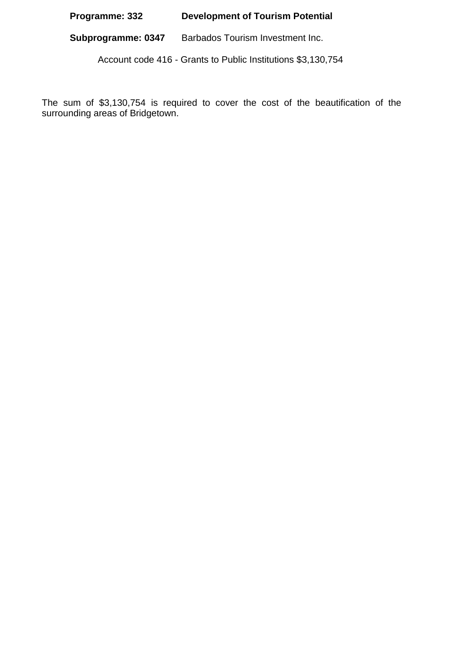## **Programme: 332 Development of Tourism Potential**

**Subprogramme: 0347** Barbados Tourism Investment Inc.

Account code 416 - Grants to Public Institutions \$3,130,754

The sum of \$3,130,754 is required to cover the cost of the beautification of the surrounding areas of Bridgetown.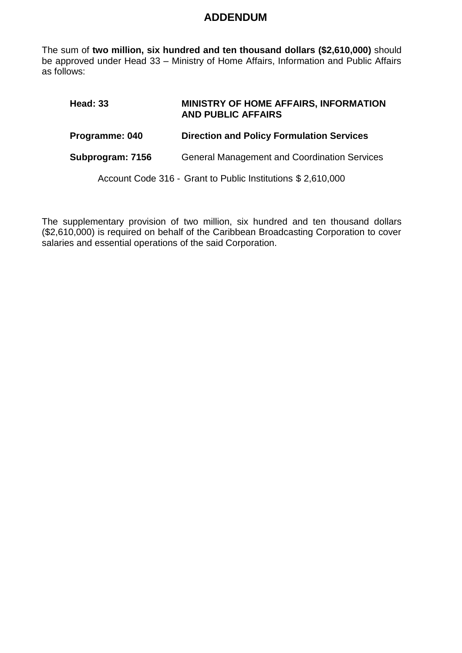The sum of **two million, six hundred and ten thousand dollars (\$2,610,000)** should be approved under Head 33 – Ministry of Home Affairs, Information and Public Affairs as follows:

### **Head: 33 MINISTRY OF HOME AFFAIRS, INFORMATION AND PUBLIC AFFAIRS**

### **Programme: 040 Direction and Policy Formulation Services**

#### **Subprogram: 7156** General Management and Coordination Services

Account Code 316 - Grant to Public Institutions \$ 2,610,000

The supplementary provision of two million, six hundred and ten thousand dollars (\$2,610,000) is required on behalf of the Caribbean Broadcasting Corporation to cover salaries and essential operations of the said Corporation.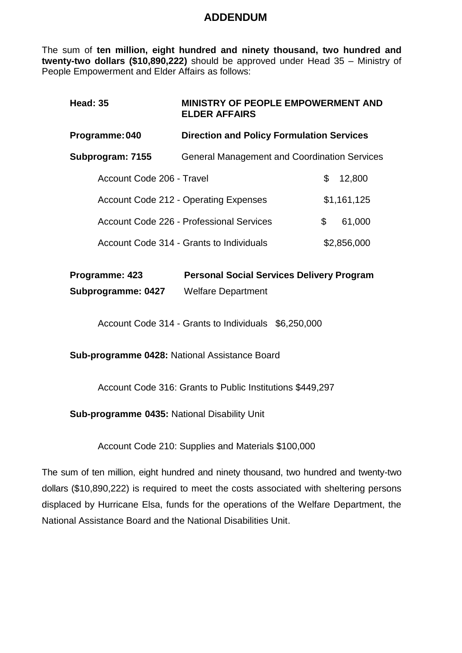The sum of **ten million, eight hundred and ninety thousand, two hundred and twenty-two dollars (\$10,890,222)** should be approved under Head 35 – Ministry of People Empowerment and Elder Affairs as follows:

| <b>Head: 35</b>                                                    | <b>MINISTRY OF PEOPLE EMPOWERMENT AND</b><br><b>ELDER AFFAIRS</b> |              |  |  |
|--------------------------------------------------------------------|-------------------------------------------------------------------|--------------|--|--|
| Programme: 040<br><b>Direction and Policy Formulation Services</b> |                                                                   |              |  |  |
| Subprogram: 7155                                                   | <b>General Management and Coordination Services</b>               |              |  |  |
| Account Code 206 - Travel                                          |                                                                   | \$<br>12,800 |  |  |
|                                                                    | <b>Account Code 212 - Operating Expenses</b>                      | \$1,161,125  |  |  |
|                                                                    | Account Code 226 - Professional Services                          | \$<br>61,000 |  |  |
|                                                                    | Account Code 314 - Grants to Individuals                          | \$2,856,000  |  |  |
|                                                                    |                                                                   |              |  |  |

| Programme: 423     | <b>Personal Social Services Delivery Program</b> |
|--------------------|--------------------------------------------------|
| Subprogramme: 0427 | <b>Welfare Department</b>                        |

Account Code 314 - Grants to Individuals \$6,250,000

**Sub-programme 0428:** National Assistance Board

Account Code 316: Grants to Public Institutions \$449,297

**Sub-programme 0435:** National Disability Unit

Account Code 210: Supplies and Materials \$100,000

The sum of ten million, eight hundred and ninety thousand, two hundred and twenty-two dollars (\$10,890,222) is required to meet the costs associated with sheltering persons displaced by Hurricane Elsa, funds for the operations of the Welfare Department, the National Assistance Board and the National Disabilities Unit.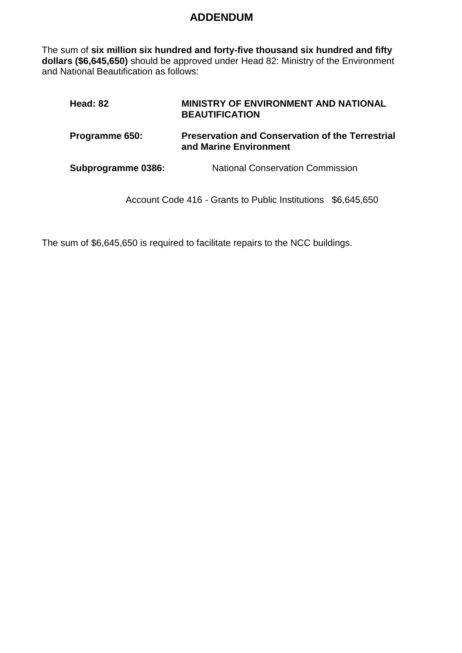The sum of **six million six hundred and forty-five thousand six hundred and fifty dollars (\$6,645,650)** should be approved under Head 82: Ministry of the Environment and National Beautification as follows:

| Head: 82           | <b>MINISTRY OF ENVIRONMENT AND NATIONAL</b><br><b>BEAUTIFICATION</b>              |
|--------------------|-----------------------------------------------------------------------------------|
| Programme 650:     | <b>Preservation and Conservation of the Terrestrial</b><br>and Marine Environment |
| Subprogramme 0386: | <b>National Conservation Commission</b>                                           |

Account Code 416 - Grants to Public Institutions \$6,645,650

The sum of \$6,645,650 is required to facilitate repairs to the NCC buildings.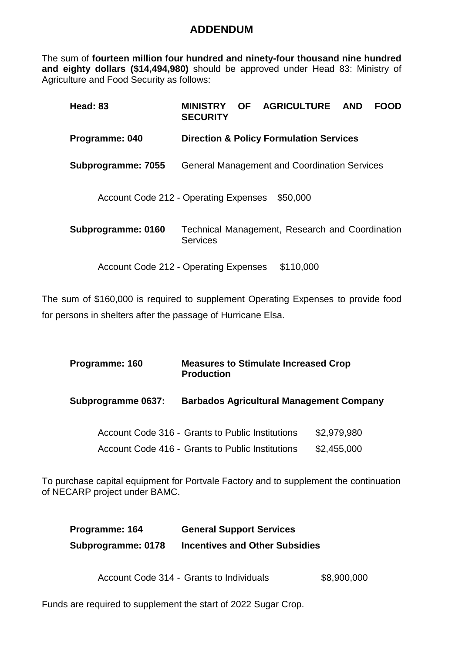The sum of **fourteen million four hundred and ninety-four thousand nine hundred and eighty dollars (\$14,494,980)** should be approved under Head 83: Ministry of Agriculture and Food Security as follows:

| <b>Head: 83</b>                              | <b>MINISTRY</b><br><b>SECURITY</b> |  | OF AGRICULTURE AND                                  | FOOD |
|----------------------------------------------|------------------------------------|--|-----------------------------------------------------|------|
| <b>Programme: 040</b>                        |                                    |  | <b>Direction &amp; Policy Formulation Services</b>  |      |
| Subprogramme: 7055                           |                                    |  | <b>General Management and Coordination Services</b> |      |
| <b>Account Code 212 - Operating Expenses</b> |                                    |  | \$50,000                                            |      |
| Subprogramme: 0160                           | <b>Services</b>                    |  | Technical Management, Research and Coordination     |      |
| <b>Account Code 212 - Operating Expenses</b> |                                    |  | \$110,000                                           |      |

The sum of \$160,000 is required to supplement Operating Expenses to provide food for persons in shelters after the passage of Hurricane Elsa.

| Programme: 160     | <b>Measures to Stimulate Increased Crop</b><br><b>Production</b>                                     |                            |
|--------------------|------------------------------------------------------------------------------------------------------|----------------------------|
| Subprogramme 0637: | <b>Barbados Agricultural Management Company</b>                                                      |                            |
|                    | Account Code 316 - Grants to Public Institutions<br>Account Code 416 - Grants to Public Institutions | \$2,979,980<br>\$2,455,000 |
|                    |                                                                                                      |                            |

To purchase capital equipment for Portvale Factory and to supplement the continuation of NECARP project under BAMC.

| Programme: 164     | <b>General Support Services</b>       |
|--------------------|---------------------------------------|
| Subprogramme: 0178 | <b>Incentives and Other Subsidies</b> |

Account Code 314 - Grants to Individuals \$8,900,000

Funds are required to supplement the start of 2022 Sugar Crop.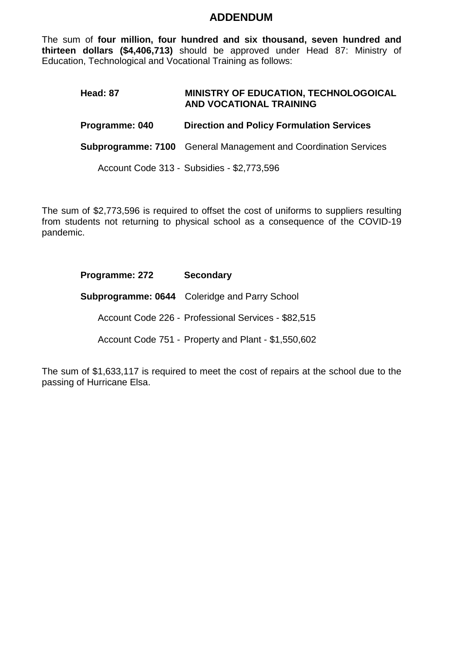The sum of **four million, four hundred and six thousand, seven hundred and thirteen dollars (\$4,406,713)** should be approved under Head 87: Ministry of Education, Technological and Vocational Training as follows:

### **Head: 87 MINISTRY OF EDUCATION, TECHNOLOGOICAL AND VOCATIONAL TRAINING**

### **Programme: 040 Direction and Policy Formulation Services**

**Subprogramme: 7100** General Management and Coordination Services

Account Code 313 - Subsidies - \$2,773,596

The sum of \$2,773,596 is required to offset the cost of uniforms to suppliers resulting from students not returning to physical school as a consequence of the COVID-19 pandemic.

### **Programme: 272 Secondary**

**Subprogramme: 0644** Coleridge and Parry School

Account Code 226 - Professional Services - \$82,515

Account Code 751 - Property and Plant - \$1,550,602

The sum of \$1,633,117 is required to meet the cost of repairs at the school due to the passing of Hurricane Elsa.